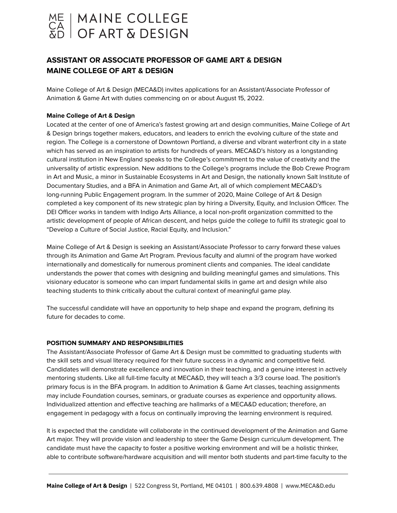

# **ASSISTANT OR ASSOCIATE PROFESSOR OF GAME ART & DESIGN MAINE COLLEGE OF ART & DESIGN**

Maine College of Art & Design (MECA&D) invites applications for an Assistant/Associate Professor of Animation & Game Art with duties commencing on or about August 15, 2022.

### **Maine College of Art & Design**

Located at the center of one of America's fastest growing art and design communities, Maine College of Art & Design brings together makers, educators, and leaders to enrich the evolving culture of the state and region. The College is a cornerstone of Downtown Portland, a diverse and vibrant waterfront city in a state which has served as an inspiration to artists for hundreds of years. MECA&D's history as a longstanding cultural institution in New England speaks to the College's commitment to the value of creativity and the universality of artistic expression. New additions to the College's programs include the Bob Crewe Program in Art and Music, a minor in Sustainable Ecosystems in Art and Design, the nationally known Salt Institute of Documentary Studies, and a BFA in Animation and Game Art, all of which complement MECA&D's long-running Public Engagement program. In the summer of 2020, Maine College of Art & Design completed a key component of its new strategic plan by hiring a Diversity, Equity, and Inclusion Officer. The DEI Officer works in tandem with Indigo Arts Alliance, a local non-profit organization committed to the artistic development of people of African descent, and helps guide the college to fulfill its strategic goal to "Develop a Culture of Social Justice, Racial Equity, and Inclusion."

Maine College of Art & Design is seeking an Assistant/Associate Professor to carry forward these values through its Animation and Game Art Program. Previous faculty and alumni of the program have worked internationally and domestically for numerous prominent clients and companies. The ideal candidate understands the power that comes with designing and building meaningful games and simulations. This visionary educator is someone who can impart fundamental skills in game art and design while also teaching students to think critically about the cultural context of meaningful game play.

The successful candidate will have an opportunity to help shape and expand the program, defining its future for decades to come.

#### **POSITION SUMMARY AND RESPONSIBILITIES**

The Assistant/Associate Professor of Game Art & Design must be committed to graduating students with the skill sets and visual literacy required for their future success in a dynamic and competitive field. Candidates will demonstrate excellence and innovation in their teaching, and a genuine interest in actively mentoring students. Like all full-time faculty at MECA&D, they will teach a 3/3 course load. The position's primary focus is in the BFA program. In addition to Animation & Game Art classes, teaching assignments may include Foundation courses, seminars, or graduate courses as experience and opportunity allows. Individualized attention and effective teaching are hallmarks of a MECA&D education; therefore, an engagement in pedagogy with a focus on continually improving the learning environment is required.

It is expected that the candidate will collaborate in the continued development of the Animation and Game Art major. They will provide vision and leadership to steer the Game Design curriculum development. The candidate must have the capacity to foster a positive working environment and will be a holistic thinker, able to contribute software/hardware acquisition and will mentor both students and part-time faculty to the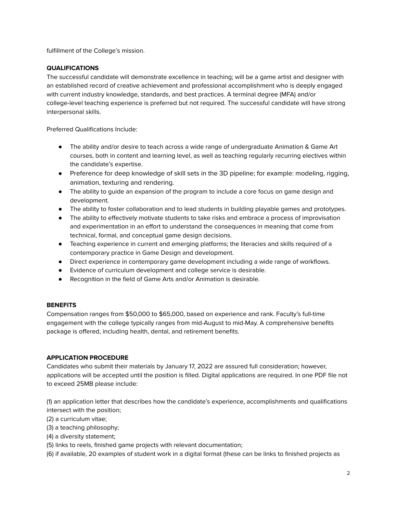fulfillment of the College's mission.

## **QUALIFICATIONS**

The successful candidate will demonstrate excellence in teaching; will be a game artist and designer with an established record of creative achievement and professional accomplishment who is deeply engaged with current industry knowledge, standards, and best practices. A terminal degree (MFA) and/or college-level teaching experience is preferred but not required. The successful candidate will have strong interpersonal skills.

Preferred Qualifications Include:

- The ability and/or desire to teach across a wide range of undergraduate Animation & Game Art courses, both in content and learning level, as well as teaching regularly recurring electives within the candidate's expertise.
- Preference for deep knowledge of skill sets in the 3D pipeline; for example: modeling, rigging, animation, texturing and rendering.
- The ability to guide an expansion of the program to include a core focus on game design and development.
- The ability to foster collaboration and to lead students in building playable games and prototypes.
- The ability to effectively motivate students to take risks and embrace a process of improvisation and experimentation in an effort to understand the consequences in meaning that come from technical, formal, and conceptual game design decisions.
- Teaching experience in current and emerging platforms; the literacies and skills required of a contemporary practice in Game Design and development.
- Direct experience in contemporary game development including a wide range of workflows.
- Evidence of curriculum development and college service is desirable.
- Recognition in the field of Game Arts and/or Animation is desirable.

### **BENEFITS**

Compensation ranges from \$50,000 to \$65,000, based on experience and rank. Faculty's full-time engagement with the college typically ranges from mid-August to mid-May. A comprehensive benefits package is offered, including health, dental, and retirement benefits.

### **APPLICATION PROCEDURE**

Candidates who submit their materials by January 17, 2022 are assured full consideration; however, applications will be accepted until the position is filled. Digital applications are required. In one PDF file not to exceed 25MB please include:

(1) an application letter that describes how the candidate's experience, accomplishments and qualifications intersect with the position;

- (2) a curriculum vitae;
- (3) a teaching philosophy;
- (4) a diversity statement;
- (5) links to reels, finished game projects with relevant documentation;
- (6) if available, 20 examples of student work in a digital format (these can be links to finished projects as